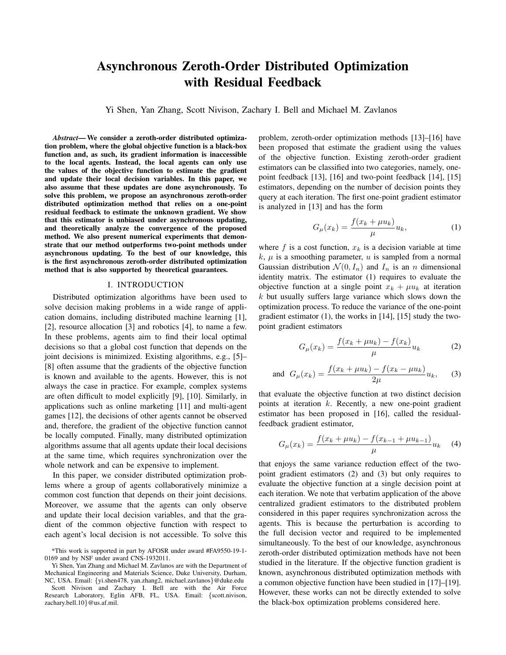# Asynchronous Zeroth-Order Distributed Optimization with Residual Feedback

Yi Shen, Yan Zhang, Scott Nivison, Zachary I. Bell and Michael M. Zavlanos

*Abstract*— We consider a zeroth-order distributed optimization problem, where the global objective function is a black-box function and, as such, its gradient information is inaccessible to the local agents. Instead, the local agents can only use the values of the objective function to estimate the gradient and update their local decision variables. In this paper, we also assume that these updates are done asynchronously. To solve this problem, we propose an asynchronous zeroth-order distributed optimization method that relies on a one-point residual feedback to estimate the unknown gradient. We show that this estimator is unbiased under asynchronous updating, and theoretically analyze the convergence of the proposed method. We also present numerical experiments that demonstrate that our method outperforms two-point methods under asynchronous updating. To the best of our knowledge, this is the first asynchronous zeroth-order distributed optimization method that is also supported by theoretical guarantees.

### I. INTRODUCTION

Distributed optimization algorithms have been used to solve decision making problems in a wide range of application domains, including distributed machine learning [1], [2], resource allocation [3] and robotics [4], to name a few. In these problems, agents aim to find their local optimal decisions so that a global cost function that depends on the joint decisions is minimized. Existing algorithms, e.g., [5]– [8] often assume that the gradients of the objective function is known and available to the agents. However, this is not always the case in practice. For example, complex systems are often difficult to model explicitly [9], [10]. Similarly, in applications such as online marketing [11] and multi-agent games [12], the decisions of other agents cannot be observed and, therefore, the gradient of the objective function cannot be locally computed. Finally, many distributed optimization algorithms assume that all agents update their local decisions at the same time, which requires synchronization over the whole network and can be expensive to implement.

In this paper, we consider distributed optimization problems where a group of agents collaboratively minimize a common cost function that depends on their joint decisions. Moreover, we assume that the agents can only observe and update their local decision variables, and that the gradient of the common objective function with respect to each agent's local decision is not accessible. To solve this

zachary.bell.10}@us.af.mil.

problem, zeroth-order optimization methods [13]–[16] have been proposed that estimate the gradient using the values of the objective function. Existing zeroth-order gradient estimators can be classified into two categories, namely, onepoint feedback [13], [16] and two-point feedback [14], [15] estimators, depending on the number of decision points they query at each iteration. The first one-point gradient estimator is analyzed in [13] and has the form

$$
G_{\mu}(x_k) = \frac{f(x_k + \mu u_k)}{\mu} u_k,
$$
\n(1)

where f is a cost function,  $x_k$  is a decision variable at time  $k, \mu$  is a smoothing parameter, u is sampled from a normal Gaussian distribution  $\mathcal{N}(0, I_n)$  and  $I_n$  is an n dimensional identity matrix. The estimator (1) requires to evaluate the objective function at a single point  $x_k + \mu u_k$  at iteration  $k$  but usually suffers large variance which slows down the optimization process. To reduce the variance of the one-point gradient estimator (1), the works in [14], [15] study the twopoint gradient estimators

$$
G_{\mu}(x_k) = \frac{f(x_k + \mu u_k) - f(x_k)}{\mu} u_k
$$
 (2)

and 
$$
G_{\mu}(x_k) = \frac{f(x_k + \mu u_k) - f(x_k - \mu u_k)}{2\mu} u_k,
$$
 (3)

that evaluate the objective function at two distinct decision points at iteration  $k$ . Recently, a new one-point gradient estimator has been proposed in [16], called the residualfeedback gradient estimator,

$$
G_{\mu}(x_k) = \frac{f(x_k + \mu u_k) - f(x_{k-1} + \mu u_{k-1})}{\mu} u_k \quad (4)
$$

that enjoys the same variance reduction effect of the twopoint gradient estimators (2) and (3) but only requires to evaluate the objective function at a single decision point at each iteration. We note that verbatim application of the above centralized gradient estimators to the distributed problem considered in this paper requires synchronization across the agents. This is because the perturbation is according to the full decision vector and required to be implemented simultaneously. To the best of our knowledge, asynchronous zeroth-order distributed optimization methods have not been studied in the literature. If the objective function gradient is known, asynchronous distributed optimization methods with a common objective function have been studied in [17]–[19]. However, these works can not be directly extended to solve the black-box optimization problems considered here.

<sup>\*</sup>This work is supported in part by AFOSR under award #FA9550-19-1- 0169 and by NSF under award CNS-1932011.

Yi Shen, Yan Zhang and Michael M. Zavlanos are with the Department of Mechanical Engineering and Materials Science, Duke University, Durham, NC, USA. Email: {yi.shen478, yan.zhang2, michael.zavlanos}@duke.edu Scott Nivison and Zachary I. Bell are with the Air Force Research Laboratory, Eglin AFB, FL, USA. Email: {scott.nivison,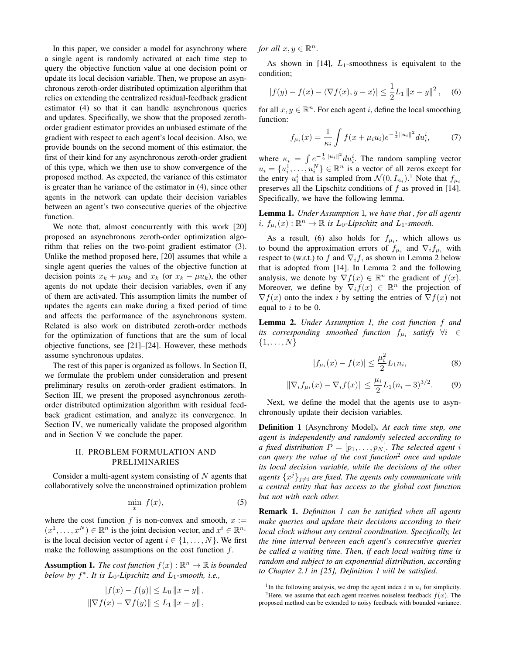In this paper, we consider a model for asynchrony where a single agent is randomly activated at each time step to query the objective function value at one decision point or update its local decision variable. Then, we propose an asynchronous zeroth-order distributed optimization algorithm that relies on extending the centralized residual-feedback gradient estimator (4) so that it can handle asynchronous queries and updates. Specifically, we show that the proposed zerothorder gradient estimator provides an unbiased estimate of the gradient with respect to each agent's local decision. Also, we provide bounds on the second moment of this estimator, the first of their kind for any asynchronous zeroth-order gradient of this type, which we then use to show convergence of the proposed method. As expected, the variance of this estimator is greater than he variance of the estimator in (4), since other agents in the network can update their decision variables between an agent's two consecutive queries of the objective function.

We note that, almost concurrently with this work [20] proposed an asynchronous zeroth-order optimization algorithm that relies on the two-point gradient estimator (3). Unlike the method proposed here, [20] assumes that while a single agent queries the values of the objective function at decision points  $x_k + \mu u_k$  and  $x_k$  (or  $x_k - \mu u_k$ ), the other agents do not update their decision variables, even if any of them are activated. This assumption limits the number of updates the agents can make during a fixed period of time and affects the performance of the asynchronous system. Related is also work on distributed zeroth-order methods for the optimization of functions that are the sum of local objective functions, see [21]–[24]. However, these methods assume synchronous updates.

The rest of this paper is organized as follows. In Section II, we formulate the problem under consideration and present preliminary results on zeroth-order gradient estimators. In Section III, we present the proposed asynchronous zerothorder distributed optimization algorithm with residual feedback gradient estimation, and analyze its convergence. In Section IV, we numerically validate the proposed algorithm and in Section V we conclude the paper.

# II. PROBLEM FORMULATION AND PRELIMINARIES

Consider a multi-agent system consisting of  $N$  agents that collaboratively solve the unconstrained optimization problem

$$
\min_{x} f(x), \tag{5}
$$

where the cost function f is non-convex and smooth,  $x :=$  $(x^1, \ldots, x^N) \in \mathbb{R}^n$  is the joint decision vector, and  $x^i \in \mathbb{R}^{n_i}$ is the local decision vector of agent  $i \in \{1, \ldots, N\}$ . We first make the following assumptions on the cost function  $f$ .

**Assumption 1.** The cost function  $f(x): \mathbb{R}^n \to \mathbb{R}$  is bounded *below by*  $f^*$ *. It is*  $L_0$ -*Lipschitz and*  $L_1$ -smooth, i.e.,

$$
|f(x) - f(y)| \le L_0 \|x - y\|,
$$
  

$$
\|\nabla f(x) - \nabla f(y)\| \le L_1 \|x - y\|,
$$

*for all*  $x, y \in \mathbb{R}^n$ .

As shown in [14],  $L_1$ -smoothness is equivalent to the condition;

$$
|f(y) - f(x) - \langle \nabla f(x), y - x \rangle| \le \frac{1}{2} L_1 \|x - y\|^2, \quad (6)
$$

for all  $x, y \in \mathbb{R}^n$ . For each agent i, define the local smoothing function:

$$
f_{\mu_i}(x) = \frac{1}{\kappa_i} \int f(x + \mu_i u_i) e^{-\frac{1}{2} ||u_i||^2} du_i^i,
$$
 (7)

where  $\kappa_i = \int e^{-\frac{1}{2}||u_i||^2} du_i^i$ . The random sampling vector  $u_i = \{u_i^1, \ldots, u_i^N\} \in \mathbb{R}^n$  is a vector of all zeros except for the entry  $u_i^i$  that is sampled from  $\mathcal{N}(0, I_{n_i})$ .<sup>1</sup> Note that  $f_{\mu_i}$ preserves all the Lipschitz conditions of  $f$  as proved in [14]. Specifically, we have the following lemma.

Lemma 1. *Under Assumption* 1*, we have that , for all agents*  $i, f_{\mu_i}(x) : \mathbb{R}^n \to \mathbb{R}$  is L<sub>0</sub>-Lipschitz and L<sub>1</sub>-smooth.

As a result, (6) also holds for  $f_{\mu i}$ , which allows us to bound the approximation errors of  $f_{\mu_i}$  and  $\nabla_i f_{\mu_i}$  with respect to (w.r.t.) to f and  $\nabla_i f$ , as shown in Lemma 2 below that is adopted from [14]. In Lemma 2 and the following analysis, we denote by  $\nabla f(x) \in \mathbb{R}^n$  the gradient of  $f(x)$ . Moreover, we define by  $\nabla_i f(x) \in \mathbb{R}^n$  the projection of  $\nabla f(x)$  onto the index i by setting the entries of  $\nabla f(x)$  not equal to  $i$  to be 0.

Lemma 2. *Under Assumption 1, the cost function* f *and its corresponding smoothed function*  $f_{\mu_i}$  *satisfy*  $\forall i \in$  $\{1,\ldots,N\}$ 

$$
|f_{\mu_i}(x) - f(x)| \le \frac{\mu_i^2}{2} L_1 n_i,
$$
 (8)

$$
\|\nabla_i f_{\mu_i}(x) - \nabla_i f(x)\| \le \frac{\mu_i}{2} L_1 (n_i + 3)^{3/2}.
$$
 (9)

Next, we define the model that the agents use to asynchronously update their decision variables.

Definition 1 (Asynchrony Model). *At each time step, one agent is independently and randomly selected according to a fixed distribution*  $P = [p_1, \ldots, p_N]$ *. The selected agent i can query the value of the cost function*<sup>2</sup> *once and update its local decision variable, while the decisions of the other*  $a$ gents  $\{x^j\}_{j\neq i}$  are fixed. The agents only communicate with *a central entity that has access to the global cost function but not with each other.*

Remark 1. *Definition 1 can be satisfied when all agents make queries and update their decisions according to their local clock without any central coordination. Specifically, let the time interval between each agent's consecutive queries be called a waiting time. Then, if each local waiting time is random and subject to an exponential distribution, according to Chapter 2.1 in [25], Definition 1 will be satisfied.*

<sup>1</sup>In the following analysis, we drop the agent index i in  $u_i$  for simplicity. <sup>2</sup>Here, we assume that each agent receives noiseless feedback  $f(x)$ . The proposed method can be extended to noisy feedback with bounded variance.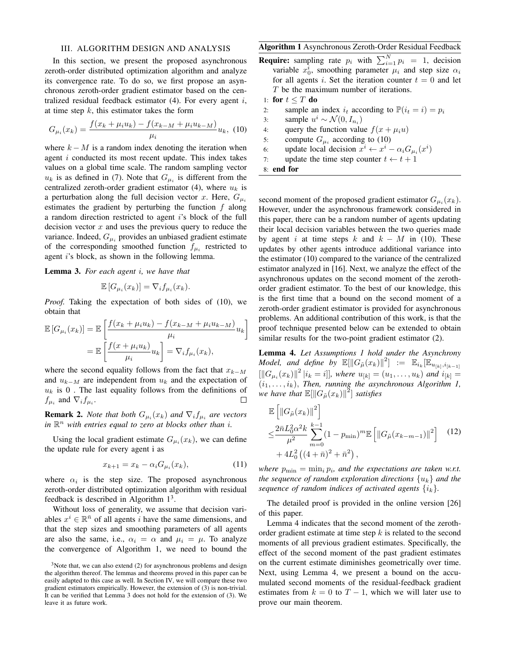# III. ALGORITHM DESIGN AND ANALYSIS

In this section, we present the proposed asynchronous zeroth-order distributed optimization algorithm and analyze its convergence rate. To do so, we first propose an asynchronous zeroth-order gradient estimator based on the centralized residual feedback estimator  $(4)$ . For every agent i, at time step  $k$ , this estimator takes the form

$$
G_{\mu_i}(x_k) = \frac{f(x_k + \mu_i u_k) - f(x_{k-M} + \mu_i u_{k-M})}{\mu_i} u_k, \tag{10}
$$

where  $k - M$  is a random index denoting the iteration when agent i conducted its most recent update. This index takes values on a global time scale. The random sampling vector  $u_k$  is as defined in (7). Note that  $G_{\mu_i}$  is different from the centralized zeroth-order gradient estimator (4), where  $u_k$  is a perturbation along the full decision vector x. Here,  $G_{\mu i}$ estimates the gradient by perturbing the function  $f$  along a random direction restricted to agent i's block of the full decision vector  $x$  and uses the previous query to reduce the variance. Indeed,  $G_{\mu i}$  provides an unbiased gradient estimate of the corresponding smoothed function  $f_{\mu_i}$  restricted to agent i's block, as shown in the following lemma.

Lemma 3. *For each agent* i*, we have that*

$$
\mathbb{E}\left[G_{\mu_i}(x_k)\right] = \nabla_i f_{\mu_i}(x_k).
$$

*Proof.* Taking the expectation of both sides of (10), we obtain that

$$
\mathbb{E}\left[G_{\mu_i}(x_k)\right] = \mathbb{E}\left[\frac{f(x_k + \mu_i u_k) - f(x_{k-M} + \mu_i u_{k-M})}{\mu_i}u_k\right]
$$

$$
= \mathbb{E}\left[\frac{f(x + \mu_i u_k)}{\mu_i}u_k\right] = \nabla_i f_{\mu_i}(x_k),
$$

where the second equality follows from the fact that  $x_{k-M}$ and  $u_{k-M}$  are independent from  $u_k$  and the expectation of  $u_k$  is 0. The last equality follows from the definitions of  $f_{\mu_i}$  and  $\nabla_i f_{\mu_i}$ . П

**Remark 2.** *Note that both*  $G_{\mu_i}(x_k)$  *and*  $\nabla_i f_{\mu_i}$  *are vectors* in  $\mathbb{R}^n$  with entries equal to zero at blocks other than *i*.

Using the local gradient estimate  $G_{\mu_i}(x_k)$ , we can define the update rule for every agent i as

$$
x_{k+1} = x_k - \alpha_i G_{\mu_i}(x_k), \qquad (11)
$$

where  $\alpha_i$  is the step size. The proposed asynchronous zeroth-order distributed optimization algorithm with residual feedback is described in Algorithm  $1<sup>3</sup>$ .

Without loss of generality, we assume that decision variables  $x^i \in \mathbb{R}^{\bar{n}}$  of all agents i have the same dimensions, and that the step sizes and smoothing parameters of all agents are also the same, i.e.,  $\alpha_i = \alpha$  and  $\mu_i = \mu$ . To analyze the convergence of Algorithm 1, we need to bound the

# Algorithm 1 Asynchronous Zeroth-Order Residual Feedback

**Require:** sampling rate  $p_i$  with  $\sum_{i=1}^{N} p_i = 1$ , decision variable  $x_0^i$ , smoothing parameter  $\mu_i$  and step size  $\alpha_i$ for all agents i. Set the iteration counter  $t = 0$  and let T be the maximum number of iterations.

1: for 
$$
t \leq T
$$
 do

2: sample an index  $i_t$  according to  $\mathbb{P}(i_t = i) = p_i$ 

- 3: sample  $u^i \sim \mathcal{N}(0, I_{n_i})$
- 4: query the function value  $f(x + \mu_i u)$
- 5: compute  $G_{\mu_i}$  according to (10)
- 6: update local decision  $x^i \leftarrow x^i \alpha_i G_{\mu_i}(x^i)$
- 7: update the time step counter  $t \leftarrow t + 1$

8: end for

second moment of the proposed gradient estimator  $G_{\mu_i}(x_k)$ . However, under the asynchronous framework considered in this paper, there can be a random number of agents updating their local decision variables between the two queries made by agent i at time steps k and  $k - M$  in (10). These updates by other agents introduce additional variance into the estimator (10) compared to the variance of the centralized estimator analyzed in [16]. Next, we analyze the effect of the asynchronous updates on the second moment of the zerothorder gradient estimator. To the best of our knowledge, this is the first time that a bound on the second moment of a zeroth-order gradient estimator is provided for asynchronous problems. An additional contribution of this work, is that the proof technique presented below can be extended to obtain similar results for the two-point gradient estimator (2).

Lemma 4. *Let Assumptions 1 hold under the Asynchrony Model, and define by*  $\mathbb{E}[\|G_{\tilde{\mu}}(x_k)\|^2] := \mathbb{E}_{i_k}[\mathbb{E}_{u_{[k]}, i_{[k-1]}}]$  $\left[\|G_{\mu_i}(x_k)\|^2\,|i_k=i|\right]$ , where  $u_{[k]}=(u_1,\ldots,u_k)$  and  $i_{[k]}=i$  $(i_1, \ldots, i_k)$ , *Then, running the asynchronous Algorithm 1,* we have that  $\mathbb{E}[\left\|G_{\tilde{\mu}}(x_k)\right\|^2]$  satisfies

$$
\mathbb{E}\left[\|G_{\tilde{\mu}}(x_k)\|^2\right] \n\leq \frac{2\bar{n}L_0^2\alpha^2k}{\mu^2} \sum_{m=0}^{k-1} (1 - p_{\min})^m \mathbb{E}\left[\|G_{\tilde{\mu}}(x_{k-m-1})\|^2\right] (12) \n+ 4L_0^2 \left((4 + \bar{n})^2 + \bar{n}^2\right),
$$

*where*  $p_{\min} = \min_i p_i$ , and the expectations are taken w.r.t. *the sequence of random exploration directions*  $\{u_k\}$  *and the sequence of random indices of activated agents*  $\{i_k\}$ .

The detailed proof is provided in the online version [26] of this paper.

Lemma 4 indicates that the second moment of the zerothorder gradient estimate at time step  $k$  is related to the second moments of all previous gradient estimates. Specifically, the effect of the second moment of the past gradient estimates on the current estimate diminishes geometrically over time. Next, using Lemma 4, we present a bound on the accumulated second moments of the residual-feedback gradient estimates from  $k = 0$  to  $T - 1$ , which we will later use to prove our main theorem.

 $3$ Note that, we can also extend (2) for asynchronous problems and design the algorithm thereof. The lemmas and theorems proved in this paper can be easily adapted to this case as well. In Section IV, we will compare these two gradient estimators empirically. However, the extension of (3) is non-trivial. It can be verified that Lemma 3 does not hold for the extension of (3). We leave it as future work.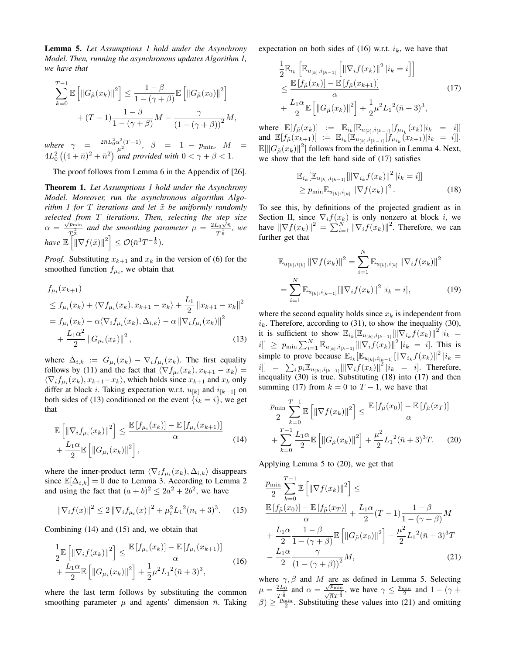Lemma 5. *Let Assumptions 1 hold under the Asynchrony Model. Then, running the asynchronous updates Algorithm 1, we have that*

$$
\sum_{k=0}^{T-1} \mathbb{E} \left[ \|G_{\tilde{\mu}}(x_k)\|^2 \right] \le \frac{1-\beta}{1-(\gamma+\beta)} \mathbb{E} \left[ \|G_{\tilde{\mu}}(x_0)\|^2 \right] + (T-1) \frac{1-\beta}{1-(\gamma+\beta)} M - \frac{\gamma}{(1-(\gamma+\beta))^2} M,
$$

*where*  $\gamma$  =  $\frac{2\bar{n}L_0^2\alpha^2(T-1)}{\mu^2}$ ,  $\beta$  = 1 –  $p_{\text{min}}$ ,  $M$  =  $4L_0^2\left((4+\bar{n})^2+\bar{n}^2\right)$  and provided with  $0<\gamma+\beta< 1$ .

The proof follows from Lemma 6 in the Appendix of [26].

Theorem 1. *Let Assumptions 1 hold under the Asynchrony Model. Moreover, run the asynchronous algorithm Algorithm 1 for* T *iterations and let*  $\tilde{x}$  *be uniformly randomly selected from* T *iterations. Then, selecting the step size* √ selected  $f_n$ <br> $\alpha = \frac{\sqrt{p_{\min}}}{2}$  $\frac{\overline{p_{\min}}}{T_2^{\frac{2}{3}}}$  and the smoothing parameter  $\mu = \frac{2L_0\sqrt{\hbar}}{T^{\frac{1}{6}}}$  $\frac{\sum_{0} \sqrt{n}}{T^{\frac{1}{6}}}$ , we *have*  $\mathbb{E}\left[\|\nabla f(\tilde{x})\|^2\right] \leq \mathcal{O}(\bar{n}^3 T^{-\frac{1}{3}}).$ 

*Proof.* Substituting  $x_{k+1}$  and  $x_k$  in the version of (6) for the smoothed function  $f_{\mu_i}$ , we obtain that

$$
f_{\mu_i}(x_{k+1})
$$
  
\n
$$
\leq f_{\mu_i}(x_k) + \langle \nabla f_{\mu_i}(x_k), x_{k+1} - x_k \rangle + \frac{L_1}{2} ||x_{k+1} - x_k||^2
$$
  
\n
$$
= f_{\mu_i}(x_k) - \alpha \langle \nabla_i f_{\mu_i}(x_k), \Delta_{i,k} \rangle - \alpha ||\nabla_i f_{\mu_i}(x_k)||^2
$$
  
\n
$$
+ \frac{L_1 \alpha^2}{2} ||G_{\mu_i}(x_k)||^2,
$$
\n(13)

where  $\Delta_{i,k} := G_{\mu_i}(x_k) - \nabla_i f_{\mu_i}(x_k)$ . The first equality follows by (11) and the fact that  $\langle \nabla f_{\mu_i}(x_k), x_{k+1} - x_k \rangle =$  $\langle \nabla_i f_{\mu_i}(x_k), x_{k+1}-x_k \rangle$ , which holds since  $x_{k+1}$  and  $x_k$  only differ at block *i*. Taking expectation w.r.t.  $u_{[k]}$  and  $i_{[k-1]}$  on both sides of (13) conditioned on the event  $\{i_k = i\}$ , we get that

$$
\mathbb{E}\left[\left\|\nabla_i f_{\mu_i}(x_k)\right\|^2\right] \le \frac{\mathbb{E}\left[f_{\mu_i}(x_k)\right] - \mathbb{E}\left[f_{\mu_i}(x_{k+1})\right]}{\alpha} \tag{14}
$$

$$
+ \frac{L_1 \alpha}{2} \mathbb{E}\left[\left\|G_{\mu_i}(x_k)\right\|^2\right],
$$

where the inner-product term  $\langle \nabla_i f_{\mu_i}(x_k), \Delta_{i,k} \rangle$  disappears since  $\mathbb{E}[\Delta_{i,k}] = 0$  due to Lemma 3. According to Lemma 2 and using the fact that  $(a + b)^2 \le 2a^2 + 2b^2$ , we have

$$
\|\nabla_i f(x)\|^2 \le 2\|\nabla_i f_{\mu_i}(x)\|^2 + \mu_i^2 L_1^2 (n_i + 3)^3. \tag{15}
$$

Combining (14) and (15) and, we obtain that

$$
\frac{1}{2} \mathbb{E} \left[ \|\nabla_i f(x_k)\|^2 \right] \le \frac{\mathbb{E} \left[ f_{\mu_i}(x_k) \right] - \mathbb{E} \left[ f_{\mu_i}(x_{k+1}) \right]}{\alpha} \n+ \frac{L_1 \alpha}{2} \mathbb{E} \left[ \|G_{\mu_i}(x_k)\|^2 \right] + \frac{1}{2} \mu^2 L_1^2 (\bar{n} + 3)^3,
$$
\n(16)

where the last term follows by substituting the common smoothing parameter  $\mu$  and agents' dimension  $\bar{n}$ . Taking expectation on both sides of (16) w.r.t.  $i_k$ , we have that

$$
\frac{1}{2} \mathbb{E}_{i_k} \left[ \mathbb{E}_{u_{[k]}, i_{[k-1]}} \left[ \left\| \nabla_i f(x_k) \right\|^2 | i_k = i \right] \right] \n\leq \frac{\mathbb{E} \left[ f_{\tilde{\mu}}(x_k) \right] - \mathbb{E} \left[ f_{\tilde{\mu}}(x_{k+1}) \right]}{\alpha} \n+ \frac{L_1 \alpha}{2} \mathbb{E} \left[ \left\| G_{\tilde{\mu}}(x_k) \right\|^2 \right] + \frac{1}{2} \mu^2 L_1^2 (\bar{n} + 3)^3,
$$
\n(17)

where  $\mathbb{E}[f_{\tilde{\mu}}(x_k)] := \mathbb{E}_{i_k}[\mathbb{E}_{u_{[k]}, i_{[k-1]}}[f_{\mu_{i_k}}(x_k)|i_k = i]]$ and  $\mathbb{E}[f_{\tilde{\mu}}(x_{k+1})] := \mathbb{E}_{i_k}[\mathbb{E}_{u_{[k]},i_{[k-1]}}[f_{\mu_{i_k}}(x_{k+1})|i_k = i]].$  $\mathbb{E}[\|G_{\tilde{\mu}}(x_k)\|^2]$  follows from the definition in Lemma 4. Next, we show that the left hand side of (17) satisfies

$$
\mathbb{E}_{i_k} [\mathbb{E}_{u_{[k]}, i_{[k-1]}} [\|\nabla_{i_k} f(x_k)\|^2 | i_k = i]]
$$
  
\n
$$
\ge p_{\min} \mathbb{E}_{u_{[k]}, i_{[k]}} \|\nabla f(x_k)\|^2.
$$
 (18)

To see this, by definitions of the projected gradient as in Section II, since  $\nabla_i f(x_k)$  is only nonzero at block i, we have  $\|\nabla f(x_k)\|^2 = \sum_{i=1}^N \|\nabla_i f(x_k)\|^2$ . Therefore, we can further get that

$$
\mathbb{E}_{u_{[k]},i_{[k]}} \left\| \nabla f(x_k) \right\|^2 = \sum_{i=1}^N \mathbb{E}_{u_{[k]},i_{[k]}} \left\| \nabla_i f(x_k) \right\|^2
$$

$$
= \sum_{i=1}^N \mathbb{E}_{u_{[k]},i_{[k-1]}} [\left\| \nabla_i f(x_k) \right\|^2 | i_k = i], \tag{19}
$$

where the second equality holds since  $x_k$  is independent from  $i_k$ . Therefore, according to (31), to show the inequality (30), it is sufficient to show  $\mathbb{E}_{i_k}[\mathbb{E}_{u_{[k]},i_{[k-1]}}[||\nabla_{i_k}f(x_k)||^2]|_k^2 =$  $[i]] \ge p_{\min} \sum_{i=1}^{N} \mathbb{E}_{u_{[k]}, i_{[k-1]}} [\|\nabla_i f(x_k)\|^2 | i_k = i].$  This is simple to prove because  $\mathbb{E}_{i_k}[\mathbb{E}_{u_{[k]}, i_{[k-1]}}[||\nabla_{i_k}f(x_k)||^2||i_k=$  $[i] \ = \ \sum_i p_i \mathbb{E}_{u_{[k]}, i_{[k-1]}} [\|\nabla_i f(x_k)\|^2 \, | i_k \ = \ i].$  Therefore, inequality (30) is true. Substituting (18) into (17) and then summing (17) from  $k = 0$  to  $T - 1$ , we have that

$$
\frac{p_{\min}}{2} \sum_{k=0}^{T-1} \mathbb{E} \left[ \left\| \nabla f(x_k) \right\|^2 \right] \le \frac{\mathbb{E} \left[ f_{\tilde{\mu}}(x_0) \right] - \mathbb{E} \left[ f_{\tilde{\mu}}(x_T) \right]}{\alpha} + \sum_{k=0}^{T-1} \frac{L_1 \alpha}{2} \mathbb{E} \left[ \left\| G_{\tilde{\mu}}(x_k) \right\|^2 \right] + \frac{\mu^2}{2} L_1^2 (\bar{n} + 3)^3 T. \tag{20}
$$

Applying Lemma 5 to (20), we get that

$$
\frac{p_{\min}}{2} \sum_{k=0}^{T-1} \mathbb{E} \left[ \left\| \nabla f(x_k) \right\|^2 \right] \le
$$
\n
$$
\frac{\mathbb{E} \left[ f_{\hat{\mu}}(x_0) \right] - \mathbb{E} \left[ f_{\hat{\mu}}(x_T) \right]}{\alpha} + \frac{L_1 \alpha}{2} (T - 1) \frac{1 - \beta}{1 - (\gamma + \beta)} M
$$
\n
$$
+ \frac{L_1 \alpha}{2} \frac{1 - \beta}{1 - (\gamma + \beta)} \mathbb{E} \left[ \left\| G_{\hat{\mu}}(x_0) \right\|^2 \right] + \frac{\mu^2}{2} L_1^2 (\bar{n} + 3)^3 T
$$
\n
$$
- \frac{L_1 \alpha}{2} \frac{\gamma}{\left( 1 - (\gamma + \beta) \right)^2} M,
$$
\n(21)

where  $\gamma$ ,  $\beta$  and M are as defined in Lemma 5. Selecting  $\mu = \frac{2L_0}{1}$  $\frac{2L_0}{T^{\frac{1}{6}}}$  and  $\alpha = \frac{\sqrt{p_{\min}}}{\sqrt{n}T^{\frac{2}{3}}}$ , we have  $\gamma \le \frac{p_{\min}}{2}$  and  $1 - (\gamma +$  $\beta$ )  $\geq \frac{p_{\text{min}}}{2}$ . Substituting these values into (21) and omitting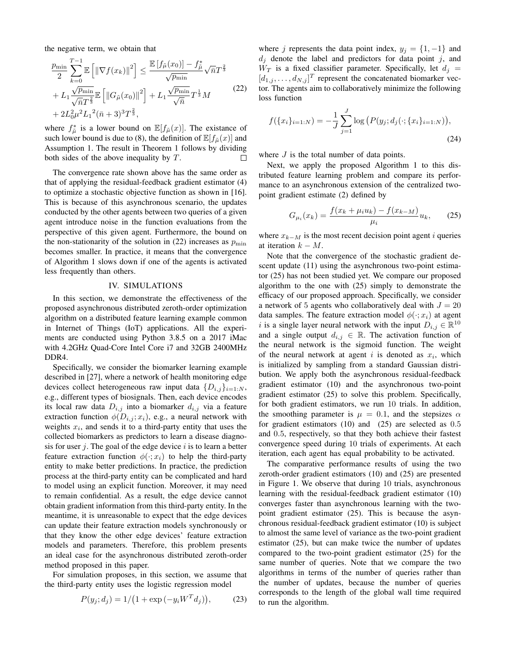the negative term, we obtain that

$$
\frac{p_{\min}}{2} \sum_{k=0}^{T-1} \mathbb{E} \left[ \left\| \nabla f(x_k) \right\|^2 \right] \le \frac{\mathbb{E} \left[ f_{\tilde{\mu}}(x_0) \right] - f_{\tilde{\mu}}^*}{\sqrt{p_{\min}}} \sqrt{\bar{n}} T^{\frac{2}{3}} \n+ L_1 \frac{\sqrt{p_{\min}}}{\sqrt{\bar{n}} T^{\frac{2}{3}}} \mathbb{E} \left[ \left\| G_{\tilde{\mu}}(x_0) \right\|^2 \right] + L_1 \frac{\sqrt{p_{\min}}}{\sqrt{\bar{n}}} T^{\frac{1}{3}} M \n+ 2L_0^2 \mu^2 L_1^2 (\bar{n} + 3)^3 T^{\frac{2}{3}},
$$
\n(22)

where  $f_{\tilde{\mu}}^*$  is a lower bound on  $\mathbb{E}[f_{\tilde{\mu}}(x)]$ . The existance of such lower bound is due to (8), the definition of  $\mathbb{E}[f_{\tilde{\mu}}(x)]$  and Assumption 1. The result in Theorem 1 follows by dividing both sides of the above inequality by T.  $\Box$ 

The convergence rate shown above has the same order as that of applying the residual-feedback gradient estimator (4) to optimize a stochastic objective function as shown in [16]. This is because of this asynchronous scenario, the updates conducted by the other agents between two queries of a given agent introduce noise in the function evaluations from the perspective of this given agent. Furthermore, the bound on the non-stationarity of the solution in (22) increases as  $p_{\min}$ becomes smaller. In practice, it means that the convergence of Algorithm 1 slows down if one of the agents is activated less frequently than others.

# IV. SIMULATIONS

In this section, we demonstrate the effectiveness of the proposed asynchronous distributed zeroth-order optimization algorithm on a distributed feature learning example common in Internet of Things (IoT) applications. All the experiments are conducted using Python 3.8.5 on a 2017 iMac with 4.2GHz Quad-Core Intel Core i7 and 32GB 2400MHz DDR4.

Specifically, we consider the biomarker learning example described in [27], where a network of health monitoring edge devices collect heterogeneous raw input data  $\{D_{i,j}\}_{i=1:N}$ , e.g., different types of biosignals. Then, each device encodes its local raw data  $D_{i,j}$  into a biomarker  $d_{i,j}$  via a feature extraction function  $\phi(D_{i,j}; x_i)$ , e.g., a neural network with weights  $x_i$ , and sends it to a third-party entity that uses the collected biomarkers as predictors to learn a disease diagnosis for user  $j$ . The goal of the edge device  $i$  is to learn a better feature extraction function  $\phi(\cdot; x_i)$  to help the third-party entity to make better predictions. In practice, the prediction process at the third-party entity can be complicated and hard to model using an explicit function. Moreover, it may need to remain confidential. As a result, the edge device cannot obtain gradient information from this third-party entity. In the meantime, it is unreasonable to expect that the edge devices can update their feature extraction models synchronously or that they know the other edge devices' feature extraction models and parameters. Therefore, this problem presents an ideal case for the asynchronous distributed zeroth-order method proposed in this paper.

For simulation proposes, in this section, we assume that the third-party entity uses the logistic regression model

$$
P(y_j; d_j) = 1/(1 + \exp(-y_i W^T d_j)), \tag{23}
$$

where j represents the data point index,  $y_j = \{1, -1\}$  and  $d_j$  denote the label and predictors for data point j, and  $W_T$  is a fixed classifier parameter. Specifically, let  $d_i =$  $[d_{1,j}, \ldots, d_{N,j}]^T$  represent the concatenated biomarker vector. The agents aim to collaboratively minimize the following loss function

$$
f(\{x_i\}_{i=1:N}) = -\frac{1}{J} \sum_{j=1}^{J} \log \big(P(y_j; d_j(\cdot; \{x_i\}_{i=1:N})\big),\tag{24}
$$

where  $J$  is the total number of data points.

Next, we apply the proposed Algorithm 1 to this distributed feature learning problem and compare its performance to an asynchronous extension of the centralized twopoint gradient estimate (2) defined by

$$
G_{\mu_i}(x_k) = \frac{f(x_k + \mu_i u_k) - f(x_{k-M})}{\mu_i} u_k, \qquad (25)
$$

where  $x_{k-M}$  is the most recent decision point agent *i* queries at iteration  $k - M$ .

Note that the convergence of the stochastic gradient descent update (11) using the asynchronous two-point estimator (25) has not been studied yet. We compare our proposed algorithm to the one with (25) simply to demonstrate the efficacy of our proposed approach. Specifically, we consider a network of 5 agents who collaboratively deal with  $J = 20$ data samples. The feature extraction model  $\phi(\cdot; x_i)$  at agent i is a single layer neural network with the input  $D_{i,j} \in \mathbb{R}^{10}$ and a single output  $d_{i,j} \in \mathbb{R}$ . The activation function of the neural network is the sigmoid function. The weight of the neural network at agent i is denoted as  $x_i$ , which is initialized by sampling from a standard Gaussian distribution. We apply both the asynchronous residual-feedback gradient estimator (10) and the asynchronous two-point gradient estimator (25) to solve this problem. Specifically, for both gradient estimators, we run 10 trials. In addition, the smoothing parameter is  $\mu = 0.1$ , and the stepsizes  $\alpha$ for gradient estimators (10) and (25) are selected as 0.5 and 0.5, respectively, so that they both achieve their fastest convergence speed during 10 trials of experiments. At each iteration, each agent has equal probability to be activated.

The comparative performance results of using the two zeroth-order gradient estimators (10) and (25) are presented in Figure 1. We observe that during 10 trials, asynchronous learning with the residual-feedback gradient estimator (10) converges faster than asynchronous learning with the twopoint gradient estimator (25). This is because the asynchronous residual-feedback gradient estimator (10) is subject to almost the same level of variance as the two-point gradient estimator (25), but can make twice the number of updates compared to the two-point gradient estimator (25) for the same number of queries. Note that we compare the two algorithms in terms of the number of queries rather than the number of updates, because the number of queries corresponds to the length of the global wall time required to run the algorithm.